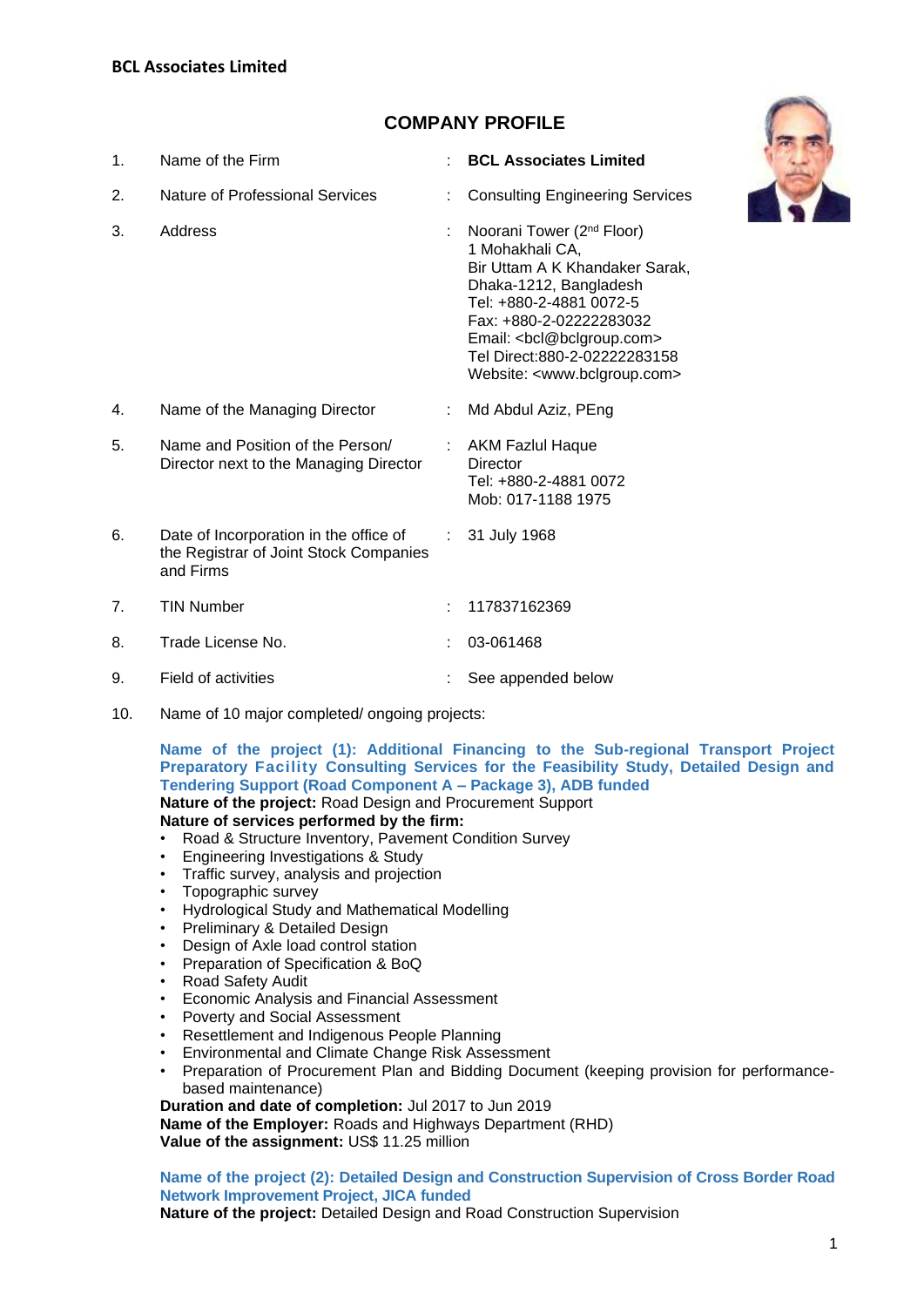# **COMPANY PROFILE**

| 1.             | Name of the Firm                                                                              |                               | <b>BCL Associates Limited</b>                                                                                                                                                                                                                                                                                   |
|----------------|-----------------------------------------------------------------------------------------------|-------------------------------|-----------------------------------------------------------------------------------------------------------------------------------------------------------------------------------------------------------------------------------------------------------------------------------------------------------------|
| 2.             | Nature of Professional Services                                                               |                               | <b>Consulting Engineering Services</b>                                                                                                                                                                                                                                                                          |
| 3.             | Address                                                                                       |                               | Noorani Tower (2 <sup>nd</sup> Floor)<br>1 Mohakhali CA,<br>Bir Uttam A K Khandaker Sarak,<br>Dhaka-1212, Bangladesh<br>Tel: +880-2-4881 0072-5<br>Fax: +880-2-02222283032<br>Email: <bcl@bclgroup.com><br/>Tel Direct: 880-2-02222283158<br/>Website: <www.bclgroup.com></www.bclgroup.com></bcl@bclgroup.com> |
| 4.             | Name of the Managing Director                                                                 |                               | Md Abdul Aziz, PEng                                                                                                                                                                                                                                                                                             |
| 5.             | Name and Position of the Person/<br>Director next to the Managing Director                    |                               | : AKM Fazlul Haque<br>Director<br>Tel: +880-2-4881 0072<br>Mob: 017-1188 1975                                                                                                                                                                                                                                   |
| 6.             | Date of Incorporation in the office of<br>the Registrar of Joint Stock Companies<br>and Firms | $\mathcal{L}^{\mathcal{L}}$ . | 31 July 1968                                                                                                                                                                                                                                                                                                    |
| 7 <sub>1</sub> | <b>TIN Number</b>                                                                             |                               | 117837162369                                                                                                                                                                                                                                                                                                    |
| 8.             | Trade License No.                                                                             |                               | 03-061468                                                                                                                                                                                                                                                                                                       |
| 9.             | Field of activities                                                                           |                               | See appended below                                                                                                                                                                                                                                                                                              |

10. Name of 10 major completed/ ongoing projects:

**Name of the project (1): Additional Financing to the Sub-regional Transport Project**  Preparatory Facility Consulting Services for the Feasibility Study, Detailed Design and **Tendering Support (Road Component A – Package 3), ADB funded Nature of the project:** Road Design and Procurement Support **Nature of services performed by the firm:**

- Road & Structure Inventory, Pavement Condition Survey
- Engineering Investigations & Study
- Traffic survey, analysis and projection
- Topographic survey
- Hydrological Study and Mathematical Modelling
- Preliminary & Detailed Design
- Design of Axle load control station
- Preparation of Specification & BoQ
- Road Safety Audit
- Economic Analysis and Financial Assessment
- Poverty and Social Assessment
- Resettlement and Indigenous People Planning
- Environmental and Climate Change Risk Assessment
- Preparation of Procurement Plan and Bidding Document (keeping provision for performancebased maintenance)

**Duration and date of completion:** Jul 2017 to Jun 2019 **Name of the Employer:** Roads and Highways Department (RHD) **Value of the assignment:** US\$ 11.25 million

## **Name of the project (2): Detailed Design and Construction Supervision of Cross Border Road Network Improvement Project, JICA funded**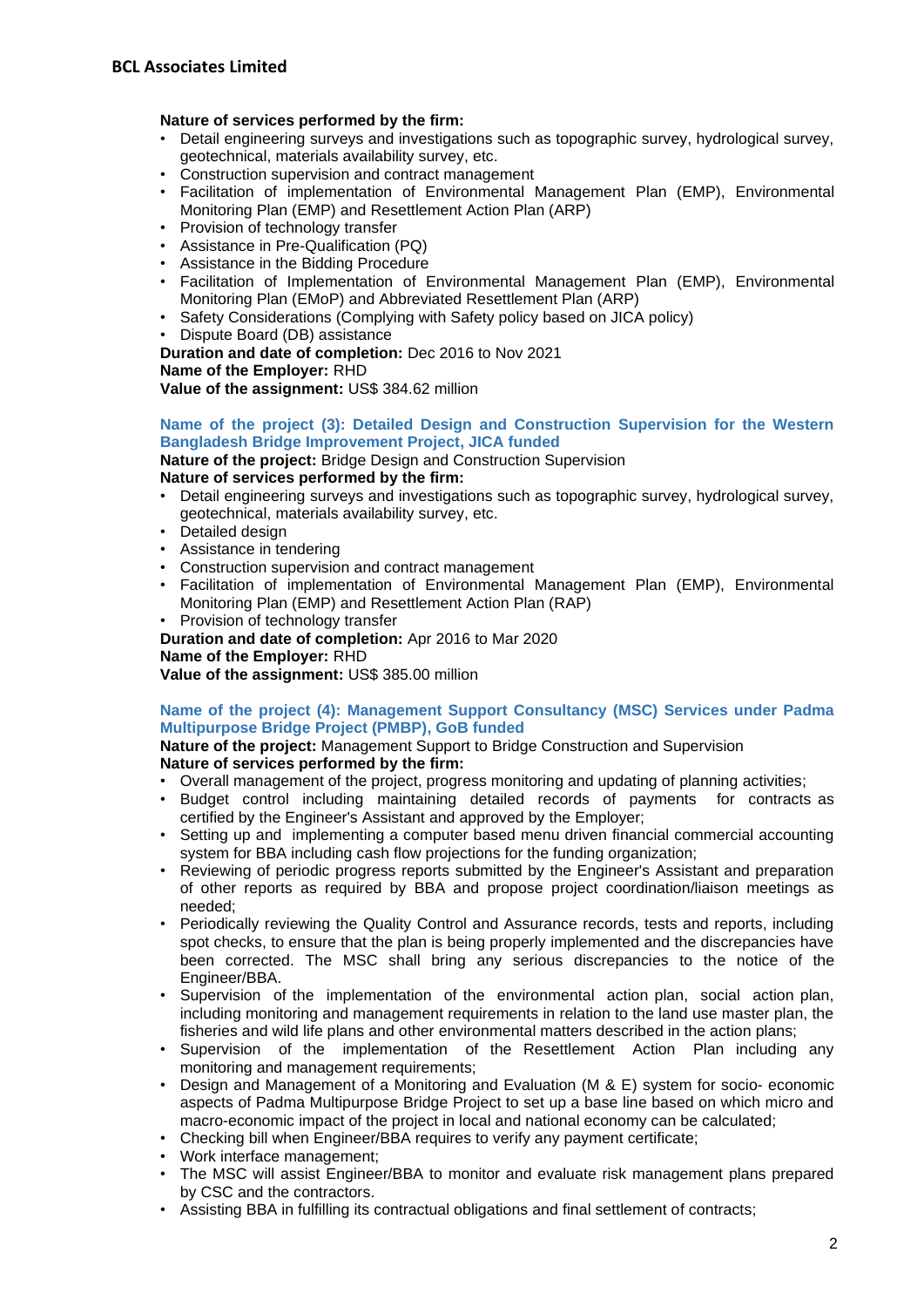## **Nature of services performed by the firm:**

- Detail engineering surveys and investigations such as topographic survey, hydrological survey, geotechnical, materials availability survey, etc.
- Construction supervision and contract management
- Facilitation of implementation of Environmental Management Plan (EMP), Environmental Monitoring Plan (EMP) and Resettlement Action Plan (ARP)
- Provision of technology transfer
- Assistance in Pre-Qualification (PQ)
- Assistance in the Bidding Procedure
- Facilitation of Implementation of Environmental Management Plan (EMP), Environmental Monitoring Plan (EMoP) and Abbreviated Resettlement Plan (ARP)
- Safety Considerations (Complying with Safety policy based on JICA policy)
- Dispute Board (DB) assistance

**Duration and date of completion:** Dec 2016 to Nov 2021 **Name of the Employer:** RHD

**Value of the assignment:** US\$ 384.62 million

## **Name of the project (3): Detailed Design and Construction Supervision for the Western Bangladesh Bridge Improvement Project, JICA funded**

**Nature of the project:** Bridge Design and Construction Supervision **Nature of services performed by the firm:**

- Detail engineering surveys and investigations such as topographic survey, hydrological survey, geotechnical, materials availability survey, etc.
- Detailed design
- Assistance in tendering
- Construction supervision and contract management
- Facilitation of implementation of Environmental Management Plan (EMP), Environmental Monitoring Plan (EMP) and Resettlement Action Plan (RAP)
- Provision of technology transfer
- **Duration and date of completion:** Apr 2016 to Mar 2020

## **Name of the Employer:** RHD

**Value of the assignment:** US\$ 385.00 million

## **Name of the project (4): Management Support Consultancy (MSC) Services under Padma Multipurpose Bridge Project (PMBP), GoB funded**

**Nature of the project:** Management Support to Bridge Construction and Supervision **Nature of services performed by the firm:**

- Overall management of the project, progress monitoring and updating of planning activities;
- Budget control including maintaining detailed records of payments for contracts as certified by the Engineer's Assistant and approved by the Employer;
- Setting up and implementing a computer based menu driven financial commercial accounting system for BBA including cash flow projections for the funding organization;
- Reviewing of periodic progress reports submitted by the Engineer's Assistant and preparation of other reports as required by BBA and propose project coordination/liaison meetings as needed;
- Periodically reviewing the Quality Control and Assurance records, tests and reports, including spot checks, to ensure that the plan is being properly implemented and the discrepancies have been corrected. The MSC shall bring any serious discrepancies to the notice of the Engineer/BBA.
- Supervision of the implementation of the environmental action plan, social action plan, including monitoring and management requirements in relation to the land use master plan, the fisheries and wild life plans and other environmental matters described in the action plans;
- Supervision of the implementation of the Resettlement Action Plan including any monitoring and management requirements;
- Design and Management of a Monitoring and Evaluation (M & E) system for socio-economic aspects of Padma Multipurpose Bridge Project to set up a base line based on which micro and macro-economic impact of the project in local and national economy can be calculated;
- Checking bill when Engineer/BBA requires to verify any payment certificate;
- Work interface management;
- The MSC will assist Engineer/BBA to monitor and evaluate risk management plans prepared by CSC and the contractors.
- Assisting BBA in fulfilling its contractual obligations and final settlement of contracts;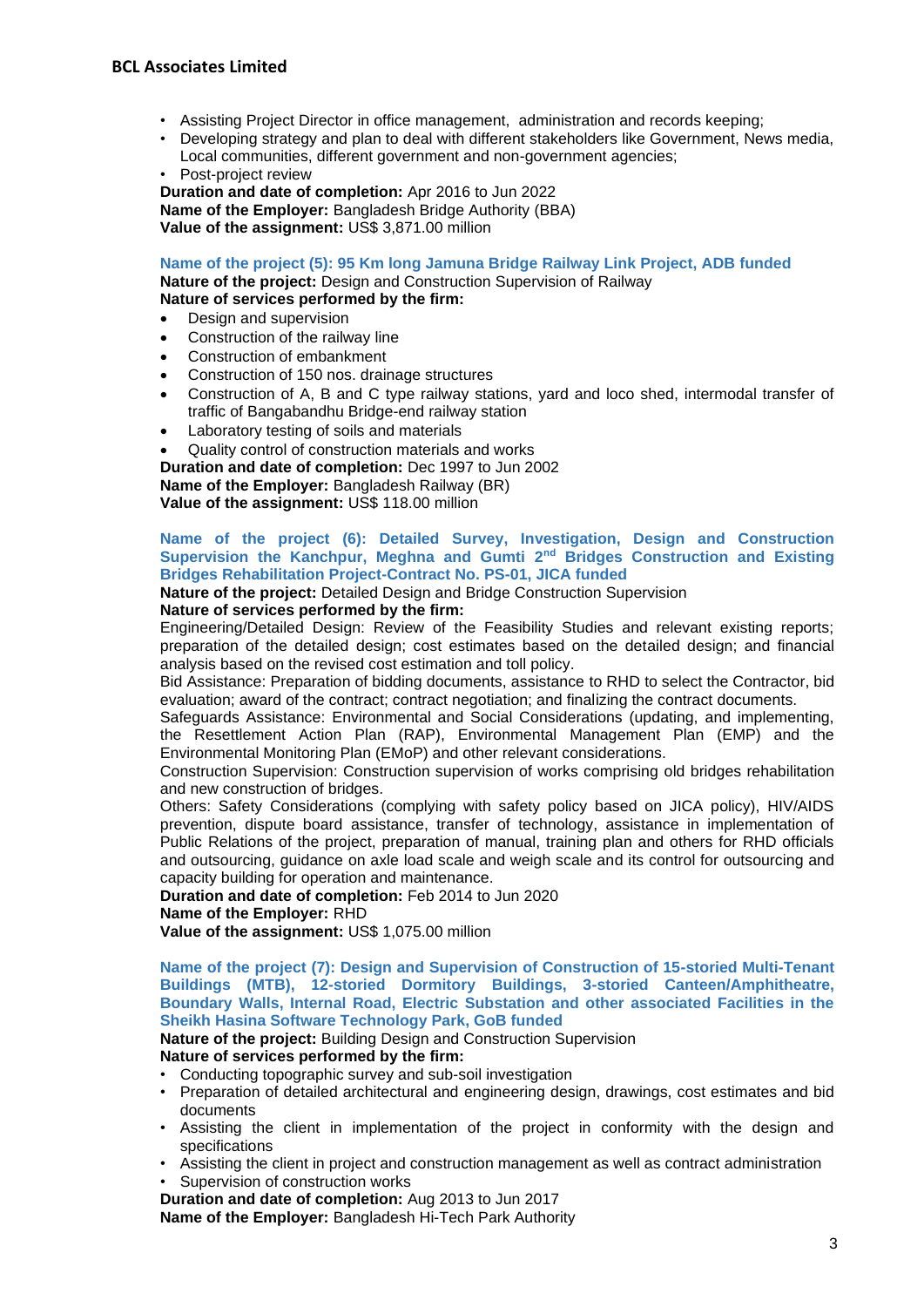- Assisting Project Director in office management, administration and records keeping;
- Developing strategy and plan to deal with different stakeholders like Government, News media, Local communities, different government and non-government agencies;
- Post-project review

**Duration and date of completion:** Apr 2016 to Jun 2022 **Name of the Employer:** Bangladesh Bridge Authority (BBA) **Value of the assignment:** US\$ 3,871.00 million

**Name of the project (5): 95 Km long Jamuna Bridge Railway Link Project, ADB funded**

**Nature of the project:** Design and Construction Supervision of Railway **Nature of services performed by the firm:**

- Design and supervision
- Construction of the railway line
- Construction of embankment
- Construction of 150 nos. drainage structures
- Construction of A, B and C type railway stations, yard and loco shed, intermodal transfer of traffic of Bangabandhu Bridge-end railway station
- Laboratory testing of soils and materials

• Quality control of construction materials and works **Duration and date of completion:** Dec 1997 to Jun 2002 **Name of the Employer:** Bangladesh Railway (BR) **Value of the assignment:** US\$ 118.00 million

## **Name of the project (6): Detailed Survey, Investigation, Design and Construction Supervision the Kanchpur, Meghna and Gumti 2nd Bridges Construction and Existing Bridges Rehabilitation Project-Contract No. PS-01, JICA funded**

**Nature of the project:** Detailed Design and Bridge Construction Supervision

## **Nature of services performed by the firm:**

Engineering/Detailed Design: Review of the Feasibility Studies and relevant existing reports; preparation of the detailed design; cost estimates based on the detailed design; and financial analysis based on the revised cost estimation and toll policy.

Bid Assistance: Preparation of bidding documents, assistance to RHD to select the Contractor, bid evaluation; award of the contract; contract negotiation; and finalizing the contract documents.

Safeguards Assistance: Environmental and Social Considerations (updating, and implementing, the Resettlement Action Plan (RAP), Environmental Management Plan (EMP) and the Environmental Monitoring Plan (EMoP) and other relevant considerations.

Construction Supervision: Construction supervision of works comprising old bridges rehabilitation and new construction of bridges.

Others: Safety Considerations (complying with safety policy based on JICA policy), HIV/AIDS prevention, dispute board assistance, transfer of technology, assistance in implementation of Public Relations of the project, preparation of manual, training plan and others for RHD officials and outsourcing, guidance on axle load scale and weigh scale and its control for outsourcing and capacity building for operation and maintenance.

**Duration and date of completion:** Feb 2014 to Jun 2020

## **Name of the Employer:** RHD

**Value of the assignment:** US\$ 1,075.00 million

**Name of the project (7): Design and Supervision of Construction of 15-storied Multi-Tenant Buildings (MTB), 12-storied Dormitory Buildings, 3-storied Canteen/Amphitheatre, Boundary Walls, Internal Road, Electric Substation and other associated Facilities in the Sheikh Hasina Software Technology Park, GoB funded**

**Nature of the project:** Building Design and Construction Supervision

## **Nature of services performed by the firm:**

- Conducting topographic survey and sub-soil investigation
- Preparation of detailed architectural and engineering design, drawings, cost estimates and bid documents
- Assisting the client in implementation of the project in conformity with the design and specifications
- Assisting the client in project and construction management as well as contract administration
- Supervision of construction works

**Duration and date of completion:** Aug 2013 to Jun 2017

**Name of the Employer:** Bangladesh Hi-Tech Park Authority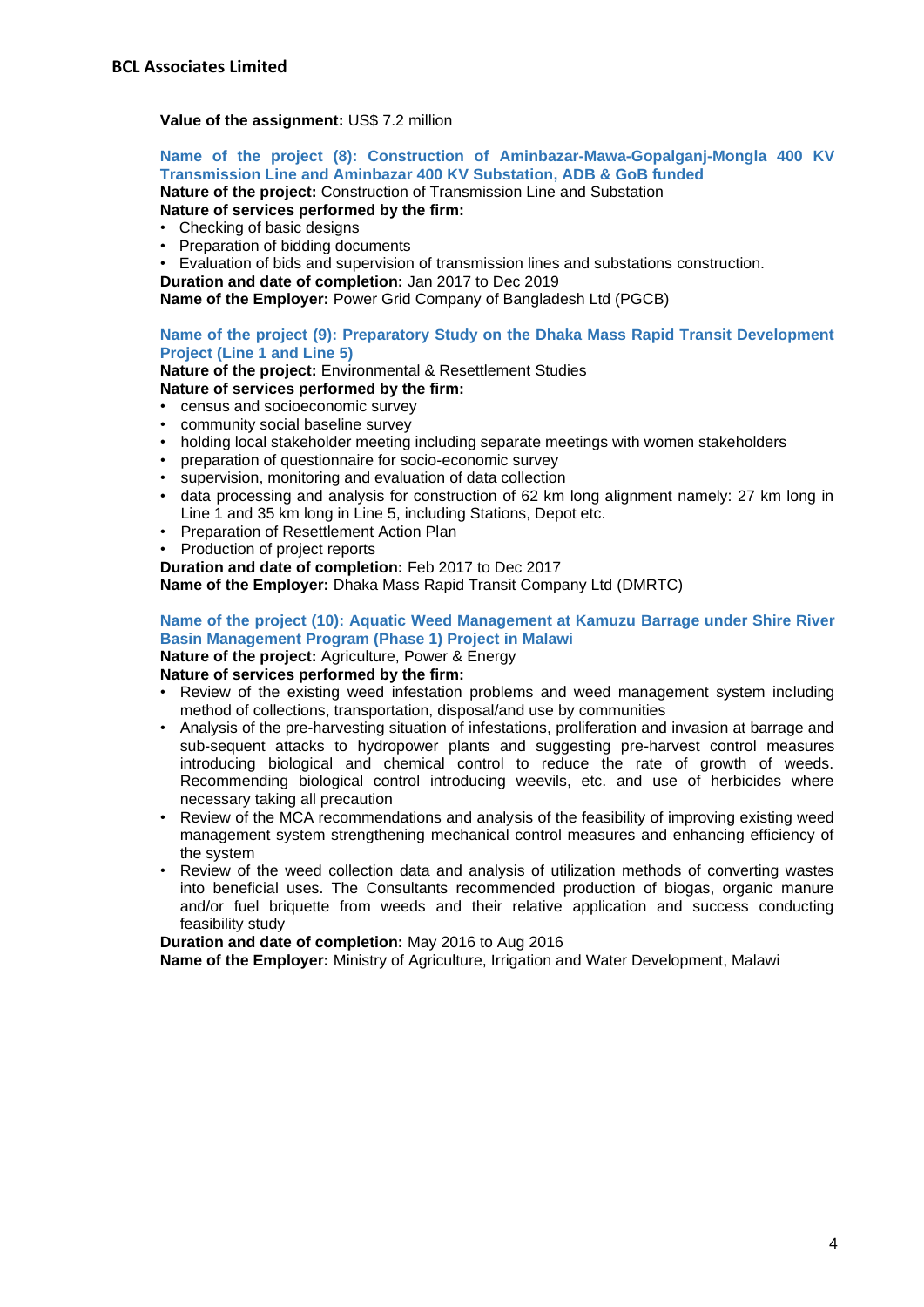## **Value of the assignment: US\$ 7.2 million**

## **Name of the project (8): Construction of Aminbazar-Mawa-Gopalganj-Mongla 400 KV Transmission Line and Aminbazar 400 KV Substation, ADB & GoB funded**

**Nature of the project:** Construction of Transmission Line and Substation **Nature of services performed by the firm:**

- Checking of basic designs
- Preparation of bidding documents

• Evaluation of bids and supervision of transmission lines and substations construction.

**Duration and date of completion:** Jan 2017 to Dec 2019

**Name of the Employer:** Power Grid Company of Bangladesh Ltd (PGCB)

## **Name of the project (9): Preparatory Study on the Dhaka Mass Rapid Transit Development Project (Line 1 and Line 5)**

**Nature of the project:** Environmental & Resettlement Studies

## **Nature of services performed by the firm:**

- census and socioeconomic survey
- community social baseline survey
- holding local stakeholder meeting including separate meetings with women stakeholders
- preparation of questionnaire for socio-economic survey
- supervision, monitoring and evaluation of data collection
- data processing and analysis for construction of 62 km long alignment namely: 27 km long in Line 1 and 35 km long in Line 5, including Stations, Depot etc.
- Preparation of Resettlement Action Plan
- Production of project reports
- **Duration and date of completion:** Feb 2017 to Dec 2017

**Name of the Employer:** Dhaka Mass Rapid Transit Company Ltd (DMRTC)

## **Name of the project (10): Aquatic Weed Management at Kamuzu Barrage under Shire River Basin Management Program (Phase 1) Project in Malawi**

**Nature of the project:** Agriculture, Power & Energy **Nature of services performed by the firm:**

- Review of the existing weed infestation problems and weed management system including method of collections, transportation, disposal/and use by communities
- Analysis of the pre-harvesting situation of infestations, proliferation and invasion at barrage and sub-sequent attacks to hydropower plants and suggesting pre-harvest control measures introducing biological and chemical control to reduce the rate of growth of weeds. Recommending biological control introducing weevils, etc. and use of herbicides where necessary taking all precaution
- Review of the MCA recommendations and analysis of the feasibility of improving existing weed management system strengthening mechanical control measures and enhancing efficiency of the system
- Review of the weed collection data and analysis of utilization methods of converting wastes into beneficial uses. The Consultants recommended production of biogas, organic manure and/or fuel briquette from weeds and their relative application and success conducting feasibility study

**Duration and date of completion:** May 2016 to Aug 2016

**Name of the Employer:** Ministry of Agriculture, Irrigation and Water Development, Malawi